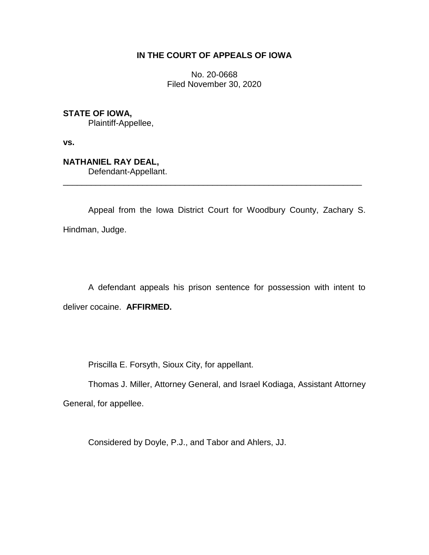## **IN THE COURT OF APPEALS OF IOWA**

No. 20-0668 Filed November 30, 2020

**STATE OF IOWA,**

Plaintiff-Appellee,

**vs.**

**NATHANIEL RAY DEAL,** Defendant-Appellant.

Appeal from the Iowa District Court for Woodbury County, Zachary S. Hindman, Judge.

\_\_\_\_\_\_\_\_\_\_\_\_\_\_\_\_\_\_\_\_\_\_\_\_\_\_\_\_\_\_\_\_\_\_\_\_\_\_\_\_\_\_\_\_\_\_\_\_\_\_\_\_\_\_\_\_\_\_\_\_\_\_\_\_

A defendant appeals his prison sentence for possession with intent to deliver cocaine. **AFFIRMED.**

Priscilla E. Forsyth, Sioux City, for appellant.

Thomas J. Miller, Attorney General, and Israel Kodiaga, Assistant Attorney General, for appellee.

Considered by Doyle, P.J., and Tabor and Ahlers, JJ.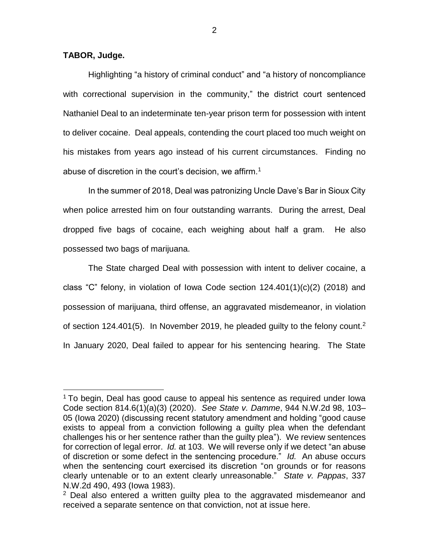## **TABOR, Judge.**

 $\overline{a}$ 

Highlighting "a history of criminal conduct" and "a history of noncompliance with correctional supervision in the community," the district court sentenced Nathaniel Deal to an indeterminate ten-year prison term for possession with intent to deliver cocaine. Deal appeals, contending the court placed too much weight on his mistakes from years ago instead of his current circumstances. Finding no abuse of discretion in the court's decision, we affirm.<sup>1</sup>

In the summer of 2018, Deal was patronizing Uncle Dave's Bar in Sioux City when police arrested him on four outstanding warrants. During the arrest, Deal dropped five bags of cocaine, each weighing about half a gram. He also possessed two bags of marijuana.

The State charged Deal with possession with intent to deliver cocaine, a class "C" felony, in violation of Iowa Code section 124.401(1)(c)(2) (2018) and possession of marijuana, third offense, an aggravated misdemeanor, in violation of section 124.401(5). In November 2019, he pleaded guilty to the felony count.<sup>2</sup> In January 2020, Deal failed to appear for his sentencing hearing. The State

<sup>&</sup>lt;sup>1</sup> To begin, Deal has good cause to appeal his sentence as required under lowa Code section 814.6(1)(a)(3) (2020). *See State v. Damme*, 944 N.W.2d 98, 103– 05 (Iowa 2020) (discussing recent statutory amendment and holding "good cause exists to appeal from a conviction following a guilty plea when the defendant challenges his or her sentence rather than the guilty plea"). We review sentences for correction of legal error. *Id.* at 103. We will reverse only if we detect "an abuse of discretion or some defect in the sentencing procedure." *Id.* An abuse occurs when the sentencing court exercised its discretion "on grounds or for reasons clearly untenable or to an extent clearly unreasonable." *State v. Pappas*, 337 N.W.2d 490, 493 (Iowa 1983).

 $2$  Deal also entered a written guilty plea to the aggravated misdemeanor and received a separate sentence on that conviction, not at issue here.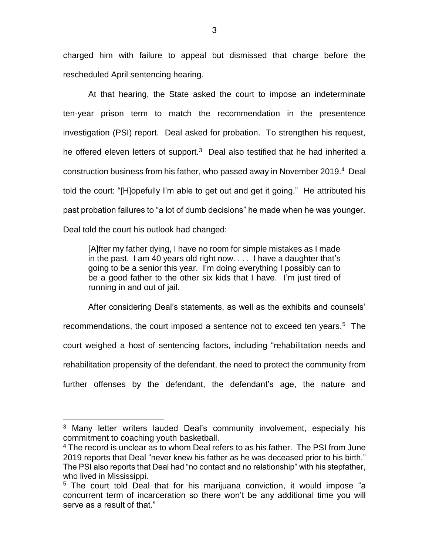charged him with failure to appeal but dismissed that charge before the rescheduled April sentencing hearing.

At that hearing, the State asked the court to impose an indeterminate ten-year prison term to match the recommendation in the presentence investigation (PSI) report. Deal asked for probation. To strengthen his request, he offered eleven letters of support. $3$  Deal also testified that he had inherited a construction business from his father, who passed away in November 2019.<sup>4</sup> Deal told the court: "[H]opefully I'm able to get out and get it going." He attributed his past probation failures to "a lot of dumb decisions" he made when he was younger. Deal told the court his outlook had changed:

[A]fter my father dying, I have no room for simple mistakes as I made in the past. I am 40 years old right now. . . . I have a daughter that's going to be a senior this year. I'm doing everything I possibly can to be a good father to the other six kids that I have. I'm just tired of running in and out of jail.

After considering Deal's statements, as well as the exhibits and counsels' recommendations, the court imposed a sentence not to exceed ten years.<sup>5</sup> The court weighed a host of sentencing factors, including "rehabilitation needs and rehabilitation propensity of the defendant, the need to protect the community from further offenses by the defendant, the defendant's age, the nature and

 $\overline{a}$ 

<sup>&</sup>lt;sup>3</sup> Many letter writers lauded Deal's community involvement, especially his commitment to coaching youth basketball.

<sup>&</sup>lt;sup>4</sup> The record is unclear as to whom Deal refers to as his father. The PSI from June 2019 reports that Deal "never knew his father as he was deceased prior to his birth." The PSI also reports that Deal had "no contact and no relationship" with his stepfather, who lived in Mississippi.

<sup>&</sup>lt;sup>5</sup> The court told Deal that for his marijuana conviction, it would impose "a concurrent term of incarceration so there won't be any additional time you will serve as a result of that."